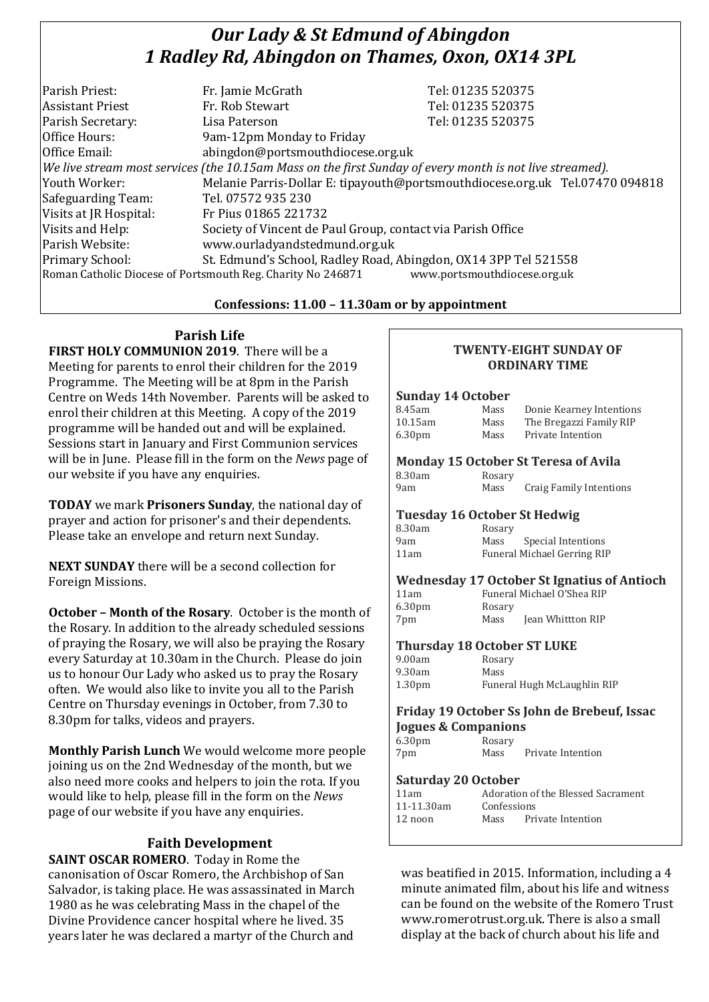# *Our Lady & St Edmund of Abingdon 1 Radley Rd, Abingdon on Thames, Oxon, OX14 3PL*

| Parish Priest:                                                                              | Fr. Jamie McGrath                                                                                        | Tel: 01235 520375                                                            |  |  |
|---------------------------------------------------------------------------------------------|----------------------------------------------------------------------------------------------------------|------------------------------------------------------------------------------|--|--|
| <b>Assistant Priest</b>                                                                     | Fr. Rob Stewart                                                                                          | Tel: 01235 520375                                                            |  |  |
| Parish Secretary:                                                                           | Lisa Paterson                                                                                            | Tel: 01235 520375                                                            |  |  |
| Office Hours:                                                                               | 9am-12pm Monday to Friday                                                                                |                                                                              |  |  |
| Office Email:                                                                               | abingdon@portsmouthdiocese.org.uk                                                                        |                                                                              |  |  |
|                                                                                             | We live stream most services (the 10.15am Mass on the first Sunday of every month is not live streamed). |                                                                              |  |  |
| Youth Worker:                                                                               |                                                                                                          | Melanie Parris-Dollar E: tipayouth@portsmouthdiocese.org.uk Tel.07470 094818 |  |  |
| Safeguarding Team:                                                                          | Tel. 07572 935 230                                                                                       |                                                                              |  |  |
| Visits at JR Hospital:                                                                      | Fr Pius 01865 221732                                                                                     |                                                                              |  |  |
| Visits and Help:                                                                            | Society of Vincent de Paul Group, contact via Parish Office                                              |                                                                              |  |  |
| Parish Website:                                                                             | www.ourladyandstedmund.org.uk                                                                            |                                                                              |  |  |
| Primary School:                                                                             | St. Edmund's School, Radley Road, Abingdon, OX14 3PP Tel 521558                                          |                                                                              |  |  |
| www.portsmouthdiocese.org.uk<br>Roman Catholic Diocese of Portsmouth Reg. Charity No 246871 |                                                                                                          |                                                                              |  |  |
|                                                                                             |                                                                                                          |                                                                              |  |  |

# **Confessions: 11.00 – 11.30am or by appointment**

# **Parish Life**

**FIRST HOLY COMMUNION 2019**. There will be a Meeting for parents to enrol their children for the 2019 Programme. The Meeting will be at 8pm in the Parish Centre on Weds 14th November. Parents will be asked to enrol their children at this Meeting. A copy of the 2019 programme will be handed out and will be explained. Sessions start in January and First Communion services will be in June. Please fill in the form on the *News* page of our website if you have any enquiries.

**TODAY** we mark **Prisoners Sunday**, the national day of prayer and action for prisoner's and their dependents. Please take an envelope and return next Sunday.

**NEXT SUNDAY** there will be a second collection for Foreign Missions.

**October – Month of the Rosary**. October is the month of the Rosary. In addition to the already scheduled sessions of praying the Rosary, we will also be praying the Rosary every Saturday at 10.30am in the Church. Please do join us to honour Our Lady who asked us to pray the Rosary often. We would also like to invite you all to the Parish Centre on Thursday evenings in October, from 7.30 to 8.30pm for talks, videos and prayers.

**Monthly Parish Lunch** We would welcome more people joining us on the 2nd Wednesday of the month, but we also need more cooks and helpers to join the rota. If you would like to help, please fill in the form on the *News* page of our website if you have any enquiries.

# **Faith Development**

**SAINT OSCAR ROMERO**. Today in Rome the canonisation of Oscar Romero, the Archbishop of San Salvador, is taking place. He was assassinated in March 1980 as he was celebrating Mass in the chapel of the Divine Providence cancer hospital where he lived. 35 years later he was declared a martyr of the Church and

## **TWENTY-EIGHT SUNDAY OF ORDINARY TIME**

### **Sunday 14 October**

| $0$ unuuy 11 October               |                             |                                                    |
|------------------------------------|-----------------------------|----------------------------------------------------|
| 8.45am                             | Mass                        | Donie Kearney Intentions                           |
| 10.15am                            | Mass                        | The Bregazzi Family RIP                            |
| 6.30 <sub>pm</sub>                 | Mass                        | Private Intention                                  |
|                                    |                             | Monday 15 October St Teresa of Avila               |
| 8.30am                             | Rosary                      |                                                    |
| 9am                                | Mass                        | Craig Family Intentions                            |
| Tuesday 16 October St Hedwig       |                             |                                                    |
| 8.30am                             | Rosary                      |                                                    |
| 9am                                | Mass                        | Special Intentions                                 |
| 11am                               |                             | <b>Funeral Michael Gerring RIP</b>                 |
|                                    |                             | <b>Wednesday 17 October St Ignatius of Antioch</b> |
| 11am                               | Funeral Michael O'Shea RIP  |                                                    |
| 6.30pm                             | Rosary                      |                                                    |
| 7pm                                | Mass                        | Jean Whittton RIP                                  |
| <b>Thursday 18 October ST LUKE</b> |                             |                                                    |
| 9.00am                             | Rosary                      |                                                    |
| 9.30am                             | Mass                        |                                                    |
| 1.30 <sub>pm</sub>                 | Funeral Hugh McLaughlin RIP |                                                    |
|                                    |                             | Friday 19 October Ss John de Brebeuf, Issac        |
| <b>Jogues &amp; Companions</b>     |                             |                                                    |
| 6.30 <sub>pm</sub>                 | Rosary                      |                                                    |
| 7pm                                |                             | Mass Private Intention                             |

### **Saturday 20 October**

| 11am       |      | Adoration of the Blessed Sacrament |  |
|------------|------|------------------------------------|--|
| 11-11.30am |      | Confessions                        |  |
| 12 noon    | Mass | Private Intention                  |  |
|            |      |                                    |  |

was beatified in 2015. Information, including a 4 minute animated film, about his life and witness can be found on the website of the Romero Trust www.romerotrust.org.uk. There is also a small display at the back of church about his life and